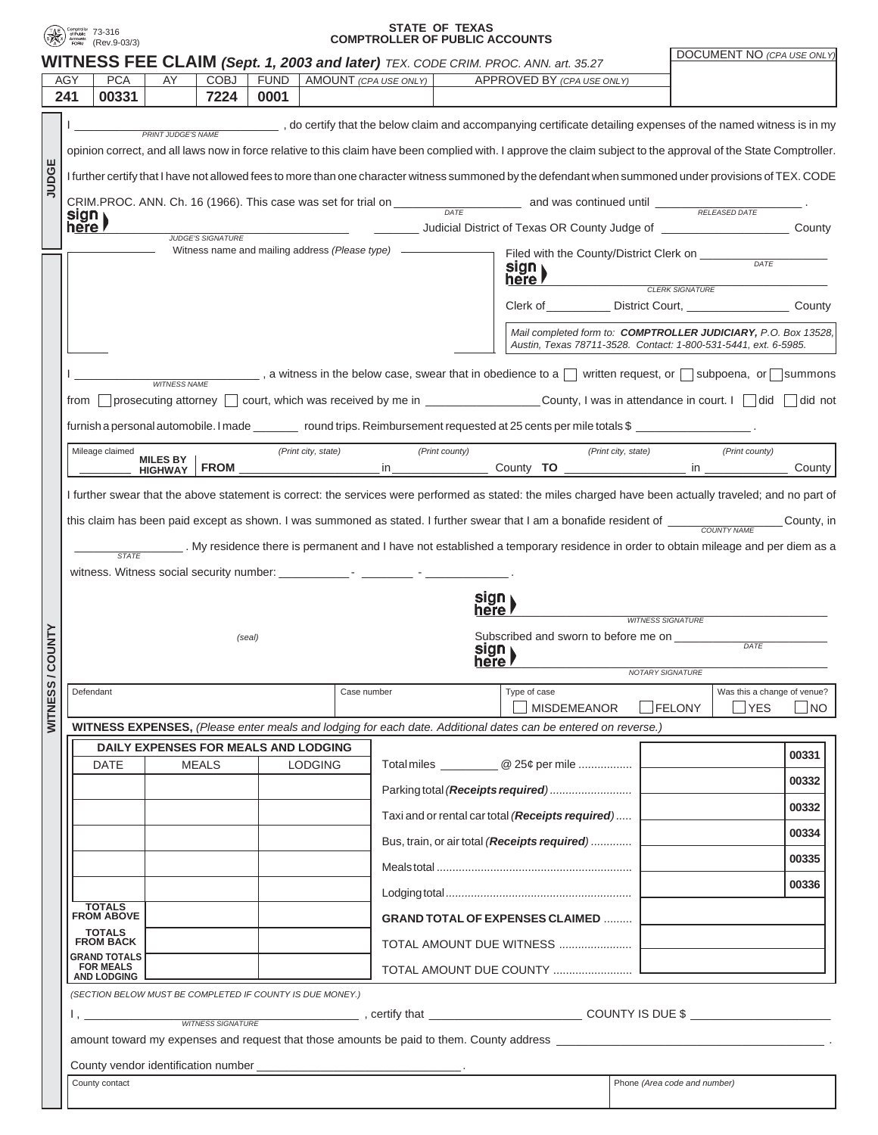

## **STATE OF TEXAS COMPTROLLER OF PUBLIC ACCOUNTS** 73-316

|                |                                                                                                                                                                                                                                                                                                                                                                     |                                                                                              |                     |                          |             |                                                  |                                                                  |                                                  |                                                                                  | <b>WITNESS FEE CLAIM (Sept. 1, 2003 and later)</b> TEX. CODE CRIM. PROC. ANN. art. 35.27                                                                  |                              |                         | <b>DOCUMENT NO (CPA USE ONLY)</b> |            |
|----------------|---------------------------------------------------------------------------------------------------------------------------------------------------------------------------------------------------------------------------------------------------------------------------------------------------------------------------------------------------------------------|----------------------------------------------------------------------------------------------|---------------------|--------------------------|-------------|--------------------------------------------------|------------------------------------------------------------------|--------------------------------------------------|----------------------------------------------------------------------------------|-----------------------------------------------------------------------------------------------------------------------------------------------------------|------------------------------|-------------------------|-----------------------------------|------------|
|                | AGY                                                                                                                                                                                                                                                                                                                                                                 | <b>PCA</b>                                                                                   | AY                  | <b>COBJ</b>              | <b>FUND</b> |                                                  | AMOUNT (CPA USE ONLY)                                            |                                                  |                                                                                  | APPROVED BY (CPA USE ONLY)                                                                                                                                |                              |                         |                                   |            |
|                | 241                                                                                                                                                                                                                                                                                                                                                                 | 00331                                                                                        |                     | 7224                     | 0001        |                                                  |                                                                  |                                                  |                                                                                  |                                                                                                                                                           |                              |                         |                                   |            |
|                | do certify that the below claim and accompanying certificate detailing expenses of the named witness is in my<br><b>PRINT JUDGE'S NAME</b><br>opinion correct, and all laws now in force relative to this claim have been complied with. I approve the claim subject to the approval of the State Comptroller.                                                      |                                                                                              |                     |                          |             |                                                  |                                                                  |                                                  |                                                                                  |                                                                                                                                                           |                              |                         |                                   |            |
| JUDGE          | I further certify that I have not allowed fees to more than one character witness summoned by the defendant when summoned under provisions of TEX. CODE                                                                                                                                                                                                             |                                                                                              |                     |                          |             |                                                  |                                                                  |                                                  |                                                                                  |                                                                                                                                                           |                              |                         |                                   |            |
|                | CRIM.PROC. ANN. Ch. 16 (1966). This case was set for trial on $\frac{DATE}{DATE}$ and was continued until $\frac{RELFASEDDATE}{RELFASEDDATE}$                                                                                                                                                                                                                       |                                                                                              |                     |                          |             |                                                  |                                                                  |                                                  |                                                                                  |                                                                                                                                                           |                              |                         |                                   |            |
|                | sign<br>here l                                                                                                                                                                                                                                                                                                                                                      |                                                                                              |                     |                          |             |                                                  |                                                                  |                                                  | Judicial District of Texas OR County Judge of __________________________________ |                                                                                                                                                           |                              |                         | County                            |            |
|                |                                                                                                                                                                                                                                                                                                                                                                     |                                                                                              |                     | <b>JUDGE'S SIGNATURE</b> |             | Witness name and mailing address (Please type) - |                                                                  |                                                  |                                                                                  | Filed with the County/District Clerk on ________                                                                                                          |                              |                         |                                   |            |
|                |                                                                                                                                                                                                                                                                                                                                                                     |                                                                                              |                     |                          |             |                                                  |                                                                  |                                                  |                                                                                  | sign<br>here <i>r</i>                                                                                                                                     | <b>CLERK SIGNATURE</b>       |                         |                                   |            |
|                |                                                                                                                                                                                                                                                                                                                                                                     |                                                                                              |                     |                          |             |                                                  |                                                                  |                                                  | Clerk of _____________ District Court, _________________                         |                                                                                                                                                           |                              |                         | County                            |            |
|                | Mail completed form to: COMPTROLLER JUDICIARY, P.O. Box 13528,                                                                                                                                                                                                                                                                                                      |                                                                                              |                     |                          |             |                                                  |                                                                  |                                                  | Austin, Texas 78711-3528. Contact: 1-800-531-5441, ext. 6-5985.                  |                                                                                                                                                           |                              |                         |                                   |            |
|                |                                                                                                                                                                                                                                                                                                                                                                     |                                                                                              |                     |                          |             |                                                  |                                                                  |                                                  |                                                                                  | ____, a witness in the below case, swear that in obedience to a $\Box$ written request, or $\Box$ subpoena, or $\Box$ summons                             |                              |                         |                                   |            |
|                | from                                                                                                                                                                                                                                                                                                                                                                |                                                                                              | <b>WITNESS NAME</b> |                          |             |                                                  |                                                                  |                                                  |                                                                                  |                                                                                                                                                           |                              |                         |                                   |            |
|                |                                                                                                                                                                                                                                                                                                                                                                     |                                                                                              |                     |                          |             |                                                  |                                                                  |                                                  |                                                                                  | furnish a personal automobile. I made ________ round trips. Reimbursement requested at 25 cents per mile totals \$ ____________________.                  |                              |                         |                                   |            |
|                |                                                                                                                                                                                                                                                                                                                                                                     | Mileage claimed                                                                              | <b>MILES BY</b>     |                          |             | (Print city, state)                              |                                                                  | (Print county)                                   |                                                                                  | (Print city, state)                                                                                                                                       |                              |                         | (Print county)                    |            |
|                |                                                                                                                                                                                                                                                                                                                                                                     |                                                                                              | <b>HIGHWAY</b>      | <b>FROM</b>              |             |                                                  | in l                                                             |                                                  |                                                                                  |                                                                                                                                                           |                              |                         |                                   | County     |
|                |                                                                                                                                                                                                                                                                                                                                                                     |                                                                                              |                     |                          |             |                                                  |                                                                  |                                                  |                                                                                  | I further swear that the above statement is correct: the services were performed as stated: the miles charged have been actually traveled; and no part of |                              |                         |                                   |            |
|                |                                                                                                                                                                                                                                                                                                                                                                     |                                                                                              |                     |                          |             |                                                  |                                                                  |                                                  |                                                                                  | this claim has been paid except as shown. I was summoned as stated. I further swear that I am a bonafide resident of _____                                |                              |                         |                                   | County, in |
|                |                                                                                                                                                                                                                                                                                                                                                                     | <b>STATE</b>                                                                                 |                     |                          |             |                                                  |                                                                  |                                                  |                                                                                  | . My residence there is permanent and I have not established a temporary residence in order to obtain mileage and per diem as a                           |                              |                         |                                   |            |
|                |                                                                                                                                                                                                                                                                                                                                                                     |                                                                                              |                     |                          |             |                                                  |                                                                  |                                                  |                                                                                  |                                                                                                                                                           |                              |                         |                                   |            |
|                | sign                                                                                                                                                                                                                                                                                                                                                                |                                                                                              |                     |                          |             |                                                  |                                                                  |                                                  |                                                                                  |                                                                                                                                                           |                              |                         |                                   |            |
|                |                                                                                                                                                                                                                                                                                                                                                                     |                                                                                              |                     |                          |             |                                                  | here l<br>Subscribed and sworn to before me on _________<br>sign |                                                  |                                                                                  | <b>WITNESS SIGNATURE</b>                                                                                                                                  |                              |                         |                                   |            |
| <b>/COUNTY</b> | (seal)                                                                                                                                                                                                                                                                                                                                                              |                                                                                              |                     |                          |             |                                                  |                                                                  |                                                  |                                                                                  |                                                                                                                                                           | DATE                         |                         |                                   |            |
|                |                                                                                                                                                                                                                                                                                                                                                                     |                                                                                              |                     |                          |             |                                                  |                                                                  | here l                                           |                                                                                  |                                                                                                                                                           |                              | <b>NOTARY SIGNATURE</b> |                                   |            |
| ဖာ             |                                                                                                                                                                                                                                                                                                                                                                     | Defendant                                                                                    |                     |                          |             |                                                  | Case number                                                      |                                                  |                                                                                  | Type of case                                                                                                                                              |                              |                         | Was this a change of venue?       |            |
| WITNES         |                                                                                                                                                                                                                                                                                                                                                                     |                                                                                              |                     |                          |             |                                                  |                                                                  |                                                  |                                                                                  | <b>MISDEMEANOR</b>                                                                                                                                        | $\Box$ FELONY                |                         | <b>NYES</b>                       | NO         |
|                | WITNESS EXPENSES, (Please enter meals and lodging for each date. Additional dates can be entered on reverse.)                                                                                                                                                                                                                                                       |                                                                                              |                     |                          |             |                                                  |                                                                  |                                                  |                                                                                  |                                                                                                                                                           |                              |                         |                                   |            |
|                |                                                                                                                                                                                                                                                                                                                                                                     | <b>DAILY EXPENSES FOR MEALS AND LODGING</b><br><b>MEALS</b><br><b>DATE</b><br><b>LODGING</b> |                     |                          |             |                                                  |                                                                  |                                                  |                                                                                  |                                                                                                                                                           |                              | 00331                   |                                   |            |
|                |                                                                                                                                                                                                                                                                                                                                                                     |                                                                                              |                     |                          |             |                                                  |                                                                  |                                                  |                                                                                  |                                                                                                                                                           |                              |                         |                                   | 00332      |
|                |                                                                                                                                                                                                                                                                                                                                                                     |                                                                                              |                     |                          |             |                                                  |                                                                  | Taxi and or rental car total (Receipts required) |                                                                                  |                                                                                                                                                           |                              |                         |                                   | 00332      |
|                |                                                                                                                                                                                                                                                                                                                                                                     |                                                                                              |                     |                          |             |                                                  | Bus, train, or air total (Receipts required)                     |                                                  |                                                                                  |                                                                                                                                                           |                              |                         | 00334                             |            |
|                |                                                                                                                                                                                                                                                                                                                                                                     |                                                                                              |                     |                          |             |                                                  |                                                                  |                                                  |                                                                                  |                                                                                                                                                           |                              |                         |                                   | 00335      |
|                |                                                                                                                                                                                                                                                                                                                                                                     |                                                                                              |                     |                          |             |                                                  |                                                                  |                                                  |                                                                                  |                                                                                                                                                           |                              |                         |                                   | 00336      |
|                |                                                                                                                                                                                                                                                                                                                                                                     | TOTALS<br>FROM ABOVE<br><b>GRAND TOTAL OF EXPENSES CLAIMED </b>                              |                     |                          |             |                                                  |                                                                  |                                                  |                                                                                  |                                                                                                                                                           |                              |                         |                                   |            |
|                | TOTALS<br>FROM BACK                                                                                                                                                                                                                                                                                                                                                 |                                                                                              |                     |                          |             |                                                  |                                                                  |                                                  |                                                                                  |                                                                                                                                                           |                              |                         |                                   |            |
|                |                                                                                                                                                                                                                                                                                                                                                                     | <b>GRAND TOTALS</b><br><b>FOR MEALS</b>                                                      |                     |                          |             |                                                  |                                                                  |                                                  |                                                                                  |                                                                                                                                                           |                              |                         |                                   |            |
|                | <b>AND LODGING</b><br>(SECTION BELOW MUST BE COMPLETED IF COUNTY IS DUE MONEY.)                                                                                                                                                                                                                                                                                     |                                                                                              |                     |                          |             |                                                  |                                                                  |                                                  |                                                                                  |                                                                                                                                                           |                              |                         |                                   |            |
|                | $\begin{picture}(20,10) \put(0,0){\vector(1,0){100}} \put(15,0){\vector(1,0){100}} \put(15,0){\vector(1,0){100}} \put(15,0){\vector(1,0){100}} \put(15,0){\vector(1,0){100}} \put(15,0){\vector(1,0){100}} \put(15,0){\vector(1,0){100}} \put(15,0){\vector(1,0){100}} \put(15,0){\vector(1,0){100}} \put(15,0){\vector(1,0){100}} \put(15,0){\vector(1,0){100}} \$ |                                                                                              |                     |                          |             |                                                  |                                                                  |                                                  |                                                                                  |                                                                                                                                                           |                              |                         |                                   |            |
|                | amount toward my expenses and request that those amounts be paid to them. County address expenses and request that those amounts be paid to them. County address                                                                                                                                                                                                    |                                                                                              |                     |                          |             |                                                  |                                                                  |                                                  |                                                                                  |                                                                                                                                                           |                              |                         |                                   |            |
|                |                                                                                                                                                                                                                                                                                                                                                                     |                                                                                              |                     |                          |             |                                                  |                                                                  |                                                  |                                                                                  |                                                                                                                                                           |                              |                         |                                   |            |
|                |                                                                                                                                                                                                                                                                                                                                                                     | County contact                                                                               |                     |                          |             |                                                  |                                                                  |                                                  |                                                                                  |                                                                                                                                                           | Phone (Area code and number) |                         |                                   |            |